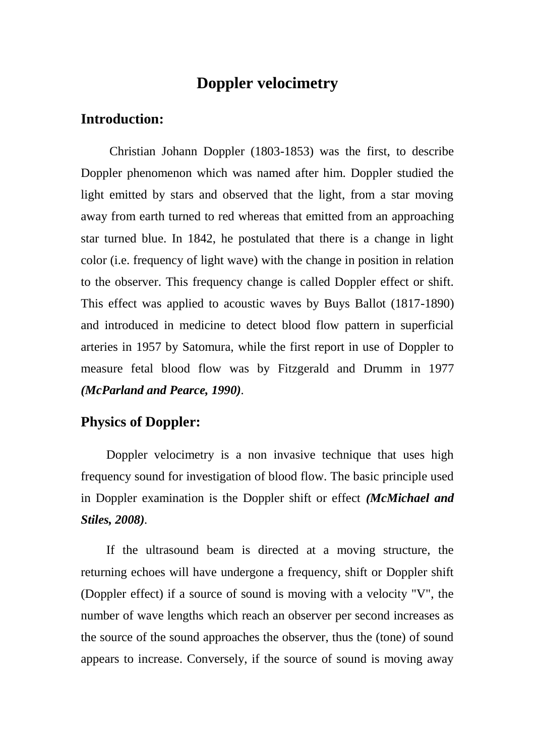## **Doppler velocimetry**

### **Introduction:**

Christian Johann Doppler (1803-1853) was the first, to describe Doppler phenomenon which was named after him. Doppler studied the light emitted by stars and observed that the light, from a star moving away from earth turned to red whereas that emitted from an approaching star turned blue. In 1842, he postulated that there is a change in light color (i.e. frequency of light wave) with the change in position in relation to the observer. This frequency change is called Doppler effect or shift. This effect was applied to acoustic waves by Buys Ballot (1817-1890) and introduced in medicine to detect blood flow pattern in superficial arteries in 1957 by Satomura, while the first report in use of Doppler to measure fetal blood flow was by Fitzgerald and Drumm in 1977 *(McParland and Pearce, 1990).*

### **Physics of Doppler:**

Doppler velocimetry is a non invasive technique that uses high frequency sound for investigation of blood flow. The basic principle used in Doppler examination is the Doppler shift or effect *(McMichael and Stiles, 2008).*

If the ultrasound beam is directed at a moving structure, the returning echoes will have undergone a frequency, shift or Doppler shift (Doppler effect) if a source of sound is moving with a velocity "V", the number of wave lengths which reach an observer per second increases as the source of the sound approaches the observer, thus the (tone) of sound appears to increase. Conversely, if the source of sound is moving away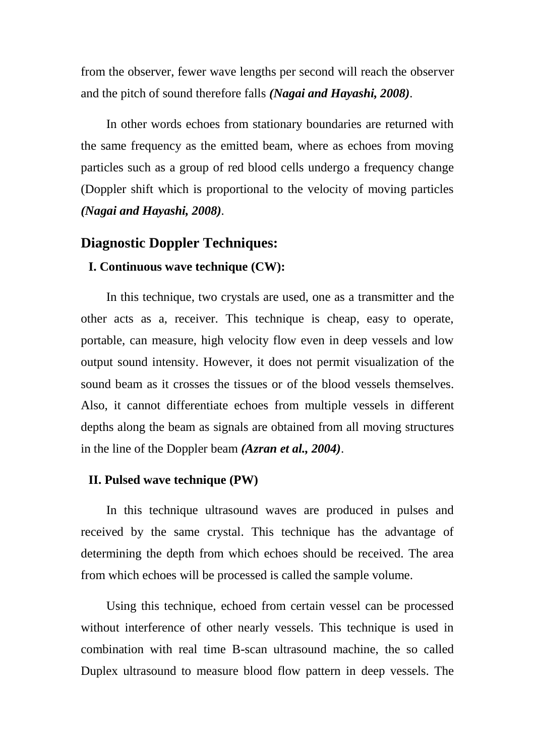from the observer, fewer wave lengths per second will reach the observer and the pitch of sound therefore falls *(Nagai and Hayashi, 2008).*

In other words echoes from stationary boundaries are returned with the same frequency as the emitted beam, where as echoes from moving particles such as a group of red blood cells undergo a frequency change (Doppler shift which is proportional to the velocity of moving particles *(Nagai and Hayashi, 2008).*

### **Diagnostic Doppler Techniques:**

#### **I. Continuous wave technique (CW):**

In this technique, two crystals are used, one as a transmitter and the other acts as a, receiver. This technique is cheap, easy to operate, portable, can measure, high velocity flow even in deep vessels and low output sound intensity. However, it does not permit visualization of the sound beam as it crosses the tissues or of the blood vessels themselves. Also, it cannot differentiate echoes from multiple vessels in different depths along the beam as signals are obtained from all moving structures in the line of the Doppler beam *(Azran et al., 2004)*.

#### **II. Pulsed wave technique (PW)**

In this technique ultrasound waves are produced in pulses and received by the same crystal. This technique has the advantage of determining the depth from which echoes should be received. The area from which echoes will be processed is called the sample volume.

Using this technique, echoed from certain vessel can be processed without interference of other nearly vessels. This technique is used in combination with real time B-scan ultrasound machine, the so called Duplex ultrasound to measure blood flow pattern in deep vessels. The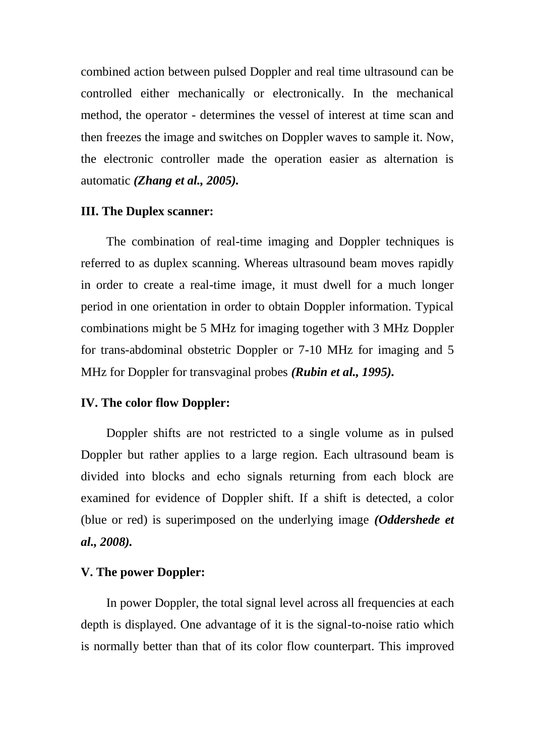combined action between pulsed Doppler and real time ultrasound can be controlled either mechanically or electronically. In the mechanical method, the operator - determines the vessel of interest at time scan and then freezes the image and switches on Doppler waves to sample it. Now, the electronic controller made the operation easier as alternation is automatic *(Zhang et al., 2005).*

#### **III. The Duplex scanner:**

The combination of real-time imaging and Doppler techniques is referred to as duplex scanning. Whereas ultrasound beam moves rapidly in order to create a real-time image, it must dwell for a much longer period in one orientation in order to obtain Doppler information. Typical combinations might be 5 MHz for imaging together with 3 MHz Doppler for trans-abdominal obstetric Doppler or 7-10 MHz for imaging and 5 MHz for Doppler for transvaginal probes *(Rubin et al., 1995).*

#### **IV. The color flow Doppler:**

Doppler shifts are not restricted to a single volume as in pulsed Doppler but rather applies to a large region. Each ultrasound beam is divided into blocks and echo signals returning from each block are examined for evidence of Doppler shift. If a shift is detected, a color (blue or red) is superimposed on the underlying image *(Oddershede et al., 2008).*

#### **V. The power Doppler:**

In power Doppler, the total signal level across all frequencies at each depth is displayed. One advantage of it is the signal-to-noise ratio which is normally better than that of its color flow counterpart. This improved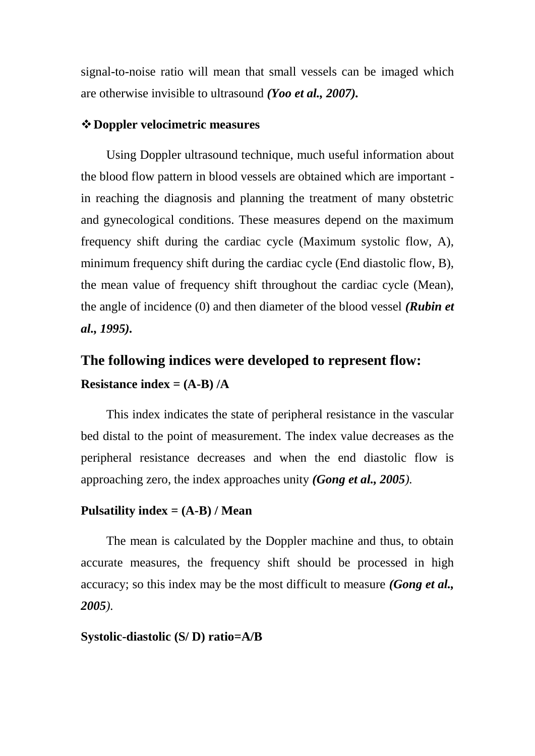signal-to-noise ratio will mean that small vessels can be imaged which are otherwise invisible to ultrasound *(Yoo et al., 2007).*

#### **Doppler velocimetric measures**

Using Doppler ultrasound technique, much useful information about the blood flow pattern in blood vessels are obtained which are important in reaching the diagnosis and planning the treatment of many obstetric and gynecological conditions. These measures depend on the maximum frequency shift during the cardiac cycle (Maximum systolic flow, A), minimum frequency shift during the cardiac cycle (End diastolic flow, B), the mean value of frequency shift throughout the cardiac cycle (Mean), the angle of incidence (0) and then diameter of the blood vessel *(Rubin et al., 1995).*

# **The following indices were developed to represent flow: Resistance index = (A-B) /A**

This index indicates the state of peripheral resistance in the vascular bed distal to the point of measurement. The index value decreases as the peripheral resistance decreases and when the end diastolic flow is approaching zero, the index approaches unity *(Gong et al., 2005).*

#### **Pulsatility index = (A-B) / Mean**

The mean is calculated by the Doppler machine and thus, to obtain accurate measures, the frequency shift should be processed in high accuracy; so this index may be the most difficult to measure *(Gong et al., 2005).*

#### **Systolic-diastolic (S/ D) ratio=A/B**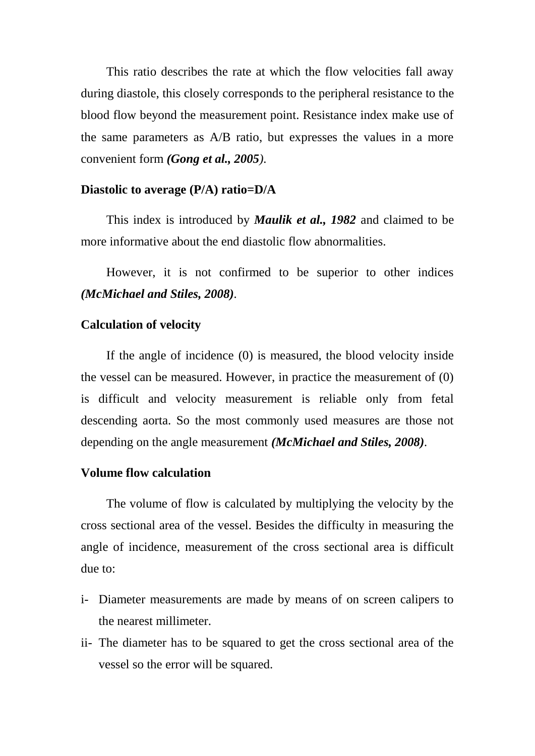This ratio describes the rate at which the flow velocities fall away during diastole, this closely corresponds to the peripheral resistance to the blood flow beyond the measurement point. Resistance index make use of the same parameters as A/B ratio, but expresses the values in a more convenient form *(Gong et al., 2005).*

#### **Diastolic to average (P/A) ratio=D/A**

This index is introduced by *Maulik et al., 1982* and claimed to be more informative about the end diastolic flow abnormalities.

However, it is not confirmed to be superior to other indices *(McMichael and Stiles, 2008).*

#### **Calculation of velocity**

If the angle of incidence (0) is measured, the blood velocity inside the vessel can be measured. However, in practice the measurement of (0) is difficult and velocity measurement is reliable only from fetal descending aorta. So the most commonly used measures are those not depending on the angle measurement *(McMichael and Stiles, 2008).*

#### **Volume flow calculation**

The volume of flow is calculated by multiplying the velocity by the cross sectional area of the vessel. Besides the difficulty in measuring the angle of incidence, measurement of the cross sectional area is difficult due to:

- i- Diameter measurements are made by means of on screen calipers to the nearest millimeter.
- ii- The diameter has to be squared to get the cross sectional area of the vessel so the error will be squared.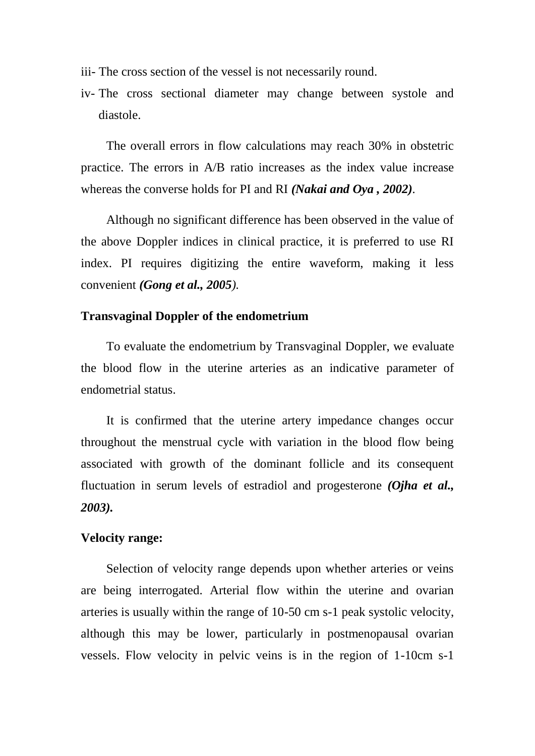iii- The cross section of the vessel is not necessarily round.

iv- The cross sectional diameter may change between systole and diastole.

The overall errors in flow calculations may reach 30% in obstetric practice. The errors in A/B ratio increases as the index value increase whereas the converse holds for PI and RI *(Nakai and Oya , 2002).*

Although no significant difference has been observed in the value of the above Doppler indices in clinical practice, it is preferred to use RI index. PI requires digitizing the entire waveform, making it less convenient *(Gong et al., 2005).*

#### **Transvaginal Doppler of the endometrium**

To evaluate the endometrium by Transvaginal Doppler, we evaluate the blood flow in the uterine arteries as an indicative parameter of endometrial status.

It is confirmed that the uterine artery impedance changes occur throughout the menstrual cycle with variation in the blood flow being associated with growth of the dominant follicle and its consequent fluctuation in serum levels of estradiol and progesterone *(Ojha et al., 2003).*

#### **Velocity range:**

Selection of velocity range depends upon whether arteries or veins are being interrogated. Arterial flow within the uterine and ovarian arteries is usually within the range of 10-50 cm s-1 peak systolic velocity, although this may be lower, particularly in postmenopausal ovarian vessels. Flow velocity in pelvic veins is in the region of 1-10cm s-1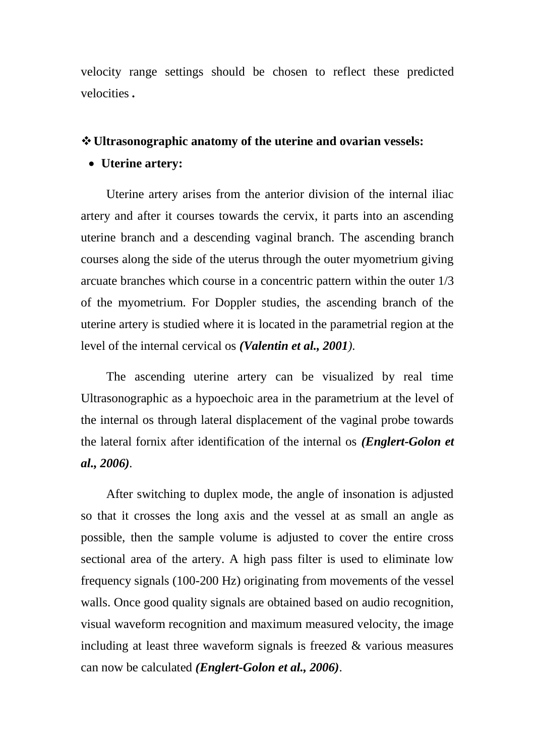velocity range settings should be chosen to reflect these predicted velocities *.*

#### **Ultrasonographic anatomy of the uterine and ovarian vessels:**

#### **Uterine artery:**

Uterine artery arises from the anterior division of the internal iliac artery and after it courses towards the cervix, it parts into an ascending uterine branch and a descending vaginal branch. The ascending branch courses along the side of the uterus through the outer myometrium giving arcuate branches which course in a concentric pattern within the outer 1/3 of the myometrium. For Doppler studies, the ascending branch of the uterine artery is studied where it is located in the parametrial region at the level of the internal cervical os *(Valentin et al., 2001).*

The ascending uterine artery can be visualized by real time Ultrasonographic as a hypoechoic area in the parametrium at the level of the internal os through lateral displacement of the vaginal probe towards the lateral fornix after identification of the internal os *(Englert-Golon et al., 2006).*

After switching to duplex mode, the angle of insonation is adjusted so that it crosses the long axis and the vessel at as small an angle as possible, then the sample volume is adjusted to cover the entire cross sectional area of the artery. A high pass filter is used to eliminate low frequency signals (100-200 Hz) originating from movements of the vessel walls. Once good quality signals are obtained based on audio recognition, visual waveform recognition and maximum measured velocity, the image including at least three waveform signals is freezed & various measures can now be calculated *(Englert-Golon et al., 2006)*.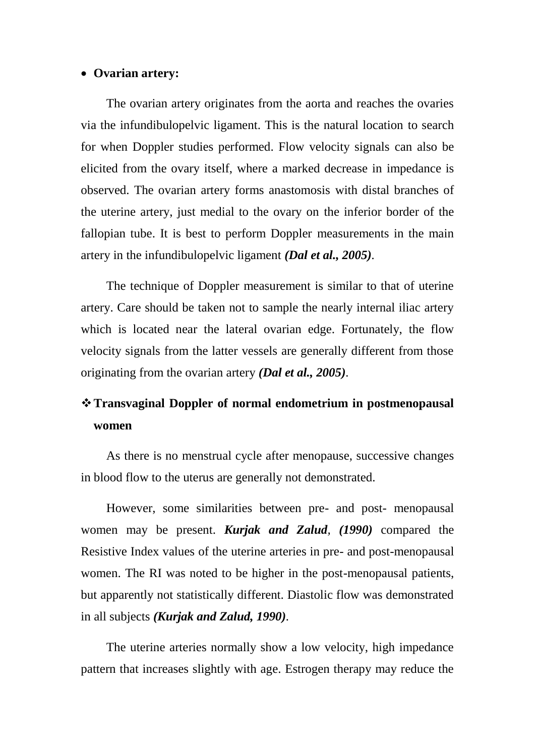#### **Ovarian artery:**

The ovarian artery originates from the aorta and reaches the ovaries via the infundibulopelvic ligament. This is the natural location to search for when Doppler studies performed. Flow velocity signals can also be elicited from the ovary itself, where a marked decrease in impedance is observed. The ovarian artery forms anastomosis with distal branches of the uterine artery, just medial to the ovary on the inferior border of the fallopian tube. It is best to perform Doppler measurements in the main artery in the infundibulopelvic ligament *(Dal et al., 2005).*

The technique of Doppler measurement is similar to that of uterine artery. Care should be taken not to sample the nearly internal iliac artery which is located near the lateral ovarian edge. Fortunately, the flow velocity signals from the latter vessels are generally different from those originating from the ovarian artery *(Dal et al., 2005).*

## **Transvaginal Doppler of normal endometrium in postmenopausal women**

As there is no menstrual cycle after menopause, successive changes in blood flow to the uterus are generally not demonstrated.

However, some similarities between pre- and post- menopausal women may be present. *Kurjak and Zalud, (1990)* compared the Resistive Index values of the uterine arteries in pre- and post-menopausal women. The RI was noted to be higher in the post-menopausal patients, but apparently not statistically different. Diastolic flow was demonstrated in all subjects *(Kurjak and Zalud, 1990).*

The uterine arteries normally show a low velocity, high impedance pattern that increases slightly with age. Estrogen therapy may reduce the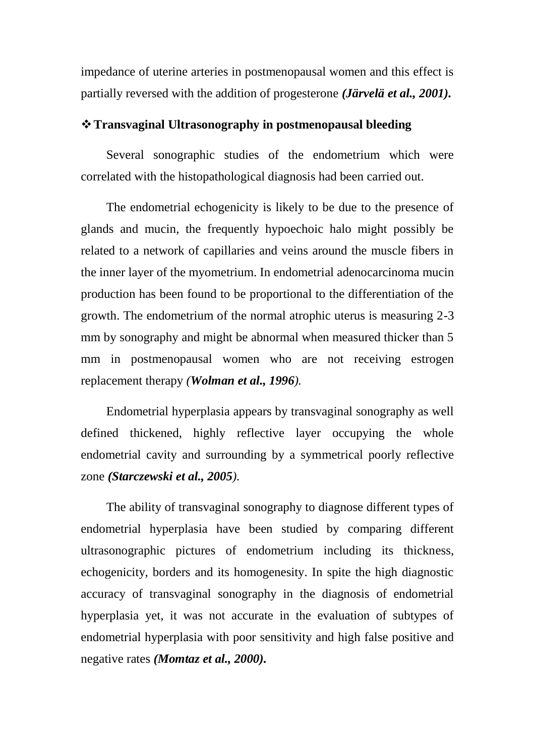impedance of uterine arteries in postmenopausal women and this effect is partially reversed with the addition of progesterone *(Järvelä et al., 2001).*

#### **Transvaginal Ultrasonography in postmenopausal bleeding**

Several sonographic studies of the endometrium which were correlated with the histopathological diagnosis had been carried out.

The endometrial echogenicity is likely to be due to the presence of glands and mucin, the frequently hypoechoic halo might possibly be related to a network of capillaries and veins around the muscle fibers in the inner layer of the myometrium. In endometrial adenocarcinoma mucin production has been found to be proportional to the differentiation of the growth. The endometrium of the normal atrophic uterus is measuring 2-3 mm by sonography and might be abnormal when measured thicker than 5 mm in postmenopausal women who are not receiving estrogen replacement therapy *(Wolman et al., 1996).*

Endometrial hyperplasia appears by transvaginal sonography as well defined thickened, highly reflective layer occupying the whole endometrial cavity and surrounding by a symmetrical poorly reflective zone *(Starczewski et al., 2005).*

The ability of transvaginal sonography to diagnose different types of endometrial hyperplasia have been studied by comparing different ultrasonographic pictures of endometrium including its thickness, echogenicity, borders and its homogenesity. In spite the high diagnostic accuracy of transvaginal sonography in the diagnosis of endometrial hyperplasia yet, it was not accurate in the evaluation of subtypes of endometrial hyperplasia with poor sensitivity and high false positive and negative rates *(Momtaz et al., 2000).*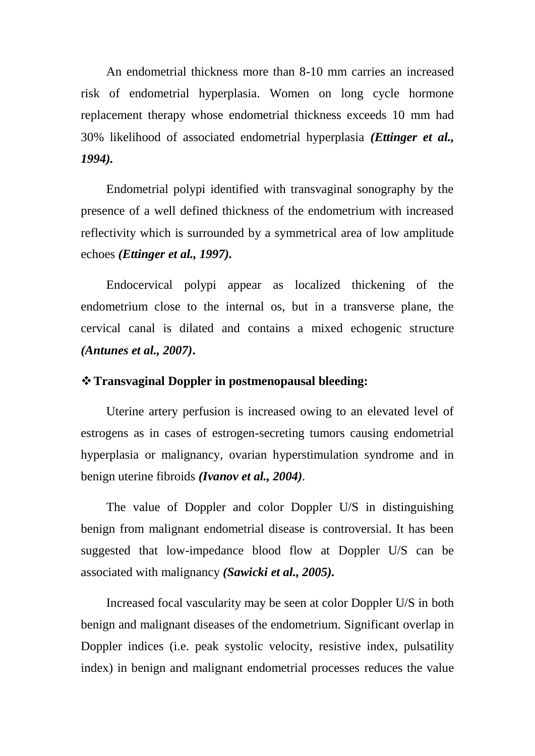An endometrial thickness more than 8-10 mm carries an increased risk of endometrial hyperplasia. Women on long cycle hormone replacement therapy whose endometrial thickness exceeds 10 mm had 30% likelihood of associated endometrial hyperplasia *(Ettinger et al., 1994).*

Endometrial polypi identified with transvaginal sonography by the presence of a well defined thickness of the endometrium with increased reflectivity which is surrounded by a symmetrical area of low amplitude echoes *(Ettinger et al., 1997).*

Endocervical polypi appear as localized thickening of the endometrium close to the internal os, but in a transverse plane, the cervical canal is dilated and contains a mixed echogenic structure *(Antunes et al., 2007)***.**

#### **Transvaginal Doppler in postmenopausal bleeding:**

Uterine artery perfusion is increased owing to an elevated level of estrogens as in cases of estrogen-secreting tumors causing endometrial hyperplasia or malignancy, ovarian hyperstimulation syndrome and in benign uterine fibroids *(Ivanov et al., 2004).*

The value of Doppler and color Doppler U/S in distinguishing benign from malignant endometrial disease is controversial. It has been suggested that low-impedance blood flow at Doppler U/S can be associated with malignancy *(Sawicki et al., 2005).*

Increased focal vascularity may be seen at color Doppler U/S in both benign and malignant diseases of the endometrium. Significant overlap in Doppler indices (i.e. peak systolic velocity, resistive index, pulsatility index) in benign and malignant endometrial processes reduces the value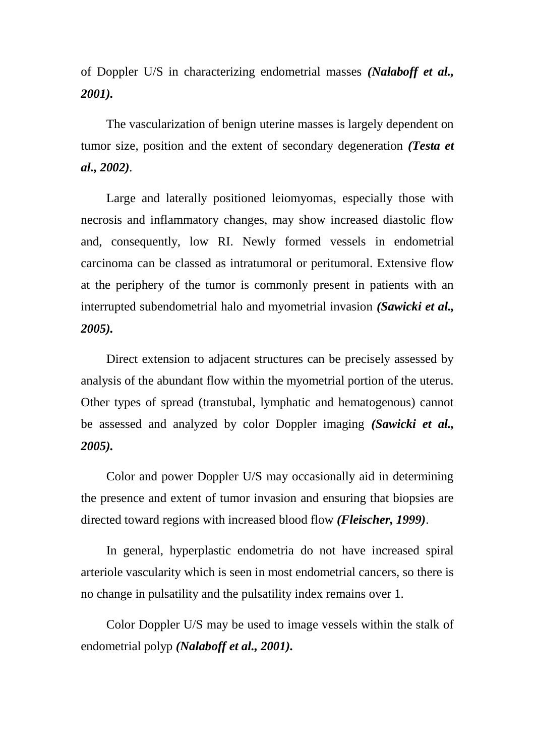of Doppler U/S in characterizing endometrial masses *(Nalaboff et al., 2001).*

The vascularization of benign uterine masses is largely dependent on tumor size, position and the extent of secondary degeneration *(Testa et al., 2002).*

Large and laterally positioned leiomyomas, especially those with necrosis and inflammatory changes, may show increased diastolic flow and, consequently, low RI. Newly formed vessels in endometrial carcinoma can be classed as intratumoral or peritumoral. Extensive flow at the periphery of the tumor is commonly present in patients with an interrupted subendometrial halo and myometrial invasion *(Sawicki et al., 2005).*

Direct extension to adjacent structures can be precisely assessed by analysis of the abundant flow within the myometrial portion of the uterus. Other types of spread (transtubal, lymphatic and hematogenous) cannot be assessed and analyzed by color Doppler imaging *(Sawicki et al., 2005).*

Color and power Doppler U/S may occasionally aid in determining the presence and extent of tumor invasion and ensuring that biopsies are directed toward regions with increased blood flow *(Fleischer, 1999)*.

In general, hyperplastic endometria do not have increased spiral arteriole vascularity which is seen in most endometrial cancers, so there is no change in pulsatility and the pulsatility index remains over 1.

Color Doppler U/S may be used to image vessels within the stalk of endometrial polyp *(Nalaboff et al., 2001).*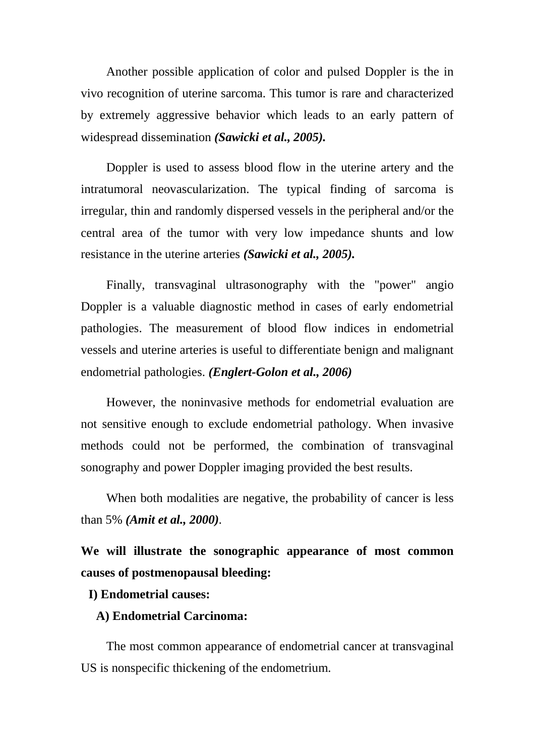Another possible application of color and pulsed Doppler is the in vivo recognition of uterine sarcoma. This tumor is rare and characterized by extremely aggressive behavior which leads to an early pattern of widespread dissemination *(Sawicki et al., 2005).*

Doppler is used to assess blood flow in the uterine artery and the intratumoral neovascularization. The typical finding of sarcoma is irregular, thin and randomly dispersed vessels in the peripheral and/or the central area of the tumor with very low impedance shunts and low resistance in the uterine arteries *(Sawicki et al., 2005).*

Finally, transvaginal ultrasonography with the "power" angio Doppler is a valuable diagnostic method in cases of early endometrial pathologies. The measurement of blood flow indices in endometrial vessels and uterine arteries is useful to differentiate benign and malignant endometrial pathologies. *(Englert-Golon et al., 2006)*

However, the noninvasive methods for endometrial evaluation are not sensitive enough to exclude endometrial pathology. When invasive methods could not be performed, the combination of transvaginal sonography and power Doppler imaging provided the best results.

When both modalities are negative, the probability of cancer is less than 5% *(Amit et al., 2000).*

**We will illustrate the sonographic appearance of most common causes of postmenopausal bleeding:**

#### **I) Endometrial causes:**

#### **A) Endometrial Carcinoma:**

The most common appearance of endometrial cancer at transvaginal US is nonspecific thickening of the endometrium.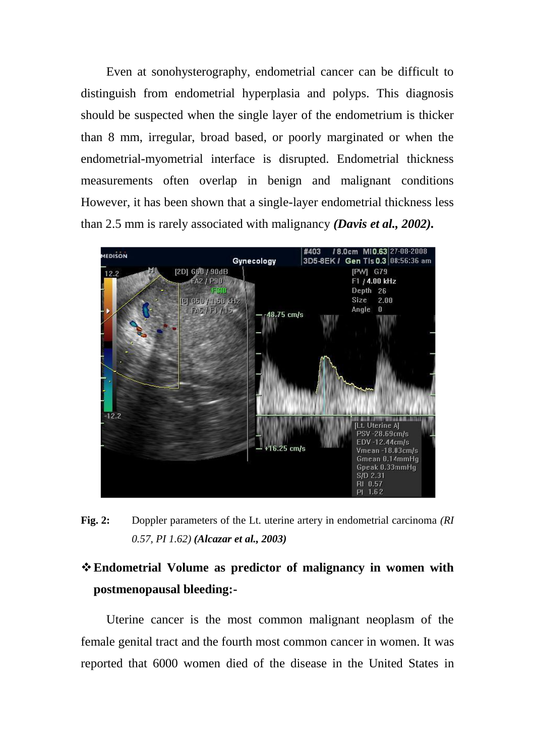Even at sonohysterography, endometrial cancer can be difficult to distinguish from endometrial hyperplasia and polyps. This diagnosis should be suspected when the single layer of the endometrium is thicker than 8 mm, irregular, broad based, or poorly marginated or when the endometrial-myometrial interface is disrupted. Endometrial thickness measurements often overlap in benign and malignant conditions However, it has been shown that a single-layer endometrial thickness less than 2.5 mm is rarely associated with malignancy *(Davis et al., 2002).*



**Fig. 2:** Doppler parameters of the Lt. uterine artery in endometrial carcinoma *(RI 0.57, PI 1.62) (Alcazar et al., 2003)*

# **Endometrial Volume as predictor of malignancy in women with postmenopausal bleeding:-**

Uterine cancer is the most common malignant neoplasm of the female genital tract and the fourth most common cancer in women. It was reported that 6000 women died of the disease in the United States in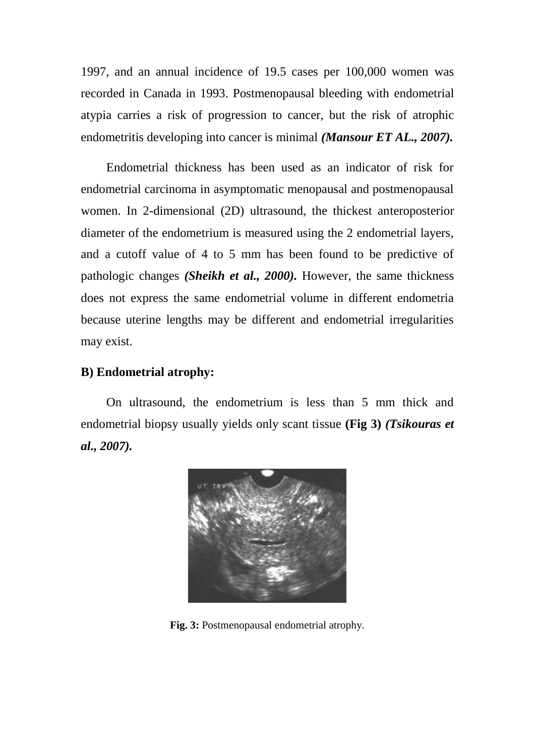1997, and an annual incidence of 19.5 cases per 100,000 women was recorded in Canada in 1993. Postmenopausal bleeding with endometrial atypia carries a risk of progression to cancer, but the risk of atrophic endometritis developing into cancer is minimal *(Mansour ET AL., 2007).*

Endometrial thickness has been used as an indicator of risk for endometrial carcinoma in asymptomatic menopausal and postmenopausal women. In 2-dimensional (2D) ultrasound, the thickest anteroposterior diameter of the endometrium is measured using the 2 endometrial layers, and a cutoff value of 4 to 5 mm has been found to be predictive of pathologic changes *(Sheikh et al., 2000).* However, the same thickness does not express the same endometrial volume in different endometria because uterine lengths may be different and endometrial irregularities may exist.

#### **B) Endometrial atrophy:**

On ultrasound, the endometrium is less than 5 mm thick and endometrial biopsy usually yields only scant tissue **(Fig 3)** *(Tsikouras et al., 2007).*



**Fig. 3:** Postmenopausal endometrial atrophy.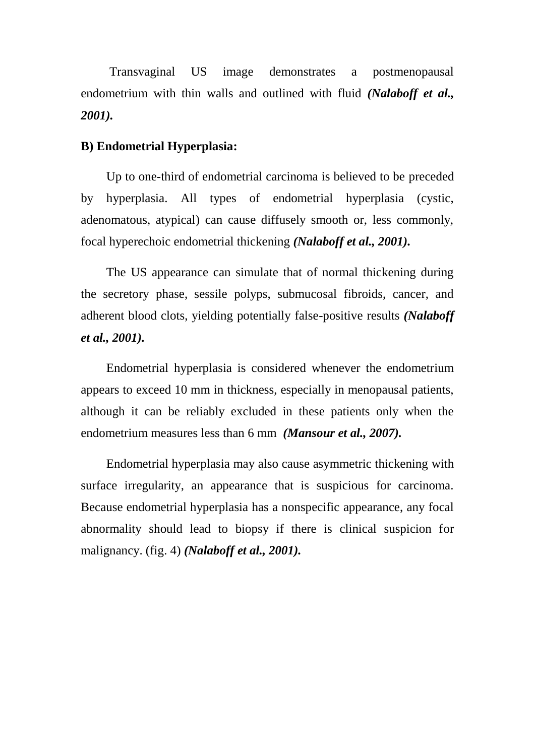Transvaginal US image demonstrates a postmenopausal endometrium with thin walls and outlined with fluid *(Nalaboff et al., 2001).*

#### **B) Endometrial Hyperplasia:**

Up to one-third of endometrial carcinoma is believed to be preceded by hyperplasia. All types of endometrial hyperplasia (cystic, adenomatous, atypical) can cause diffusely smooth or, less commonly, focal hyperechoic endometrial thickening *(Nalaboff et al., 2001).*

The US appearance can simulate that of normal thickening during the secretory phase, sessile polyps, submucosal fibroids, cancer, and adherent blood clots, yielding potentially false-positive results *(Nalaboff et al., 2001).*

Endometrial hyperplasia is considered whenever the endometrium appears to exceed 10 mm in thickness, especially in menopausal patients, although it can be reliably excluded in these patients only when the endometrium measures less than 6 mm *(Mansour et al., 2007).*

Endometrial hyperplasia may also cause asymmetric thickening with surface irregularity, an appearance that is suspicious for carcinoma. Because endometrial hyperplasia has a nonspecific appearance, any focal abnormality should lead to biopsy if there is clinical suspicion for malignancy. (fig. 4) *(Nalaboff et al., 2001).*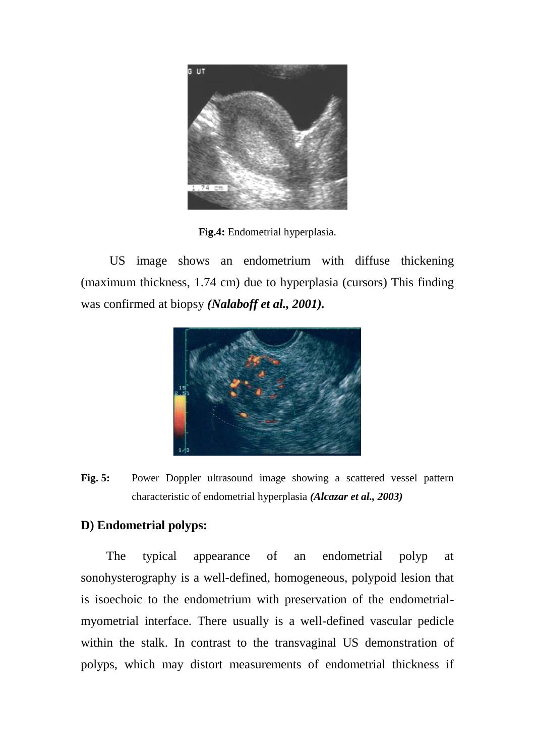

**Fig.4:** Endometrial hyperplasia.

US image shows an endometrium with diffuse thickening (maximum thickness, 1.74 cm) due to hyperplasia (cursors) This finding was confirmed at biopsy *(Nalaboff et al., 2001).*



Fig. 5: Power Doppler ultrasound image showing a scattered vessel pattern characteristic of endometrial hyperplasia *(Alcazar et al., 2003)*

#### **D) Endometrial polyps:**

The typical appearance of an endometrial polyp at sonohysterography is a well-defined, homogeneous, polypoid lesion that is isoechoic to the endometrium with preservation of the endometrialmyometrial interface. There usually is a well-defined vascular pedicle within the stalk. In contrast to the transvaginal US demonstration of polyps, which may distort measurements of endometrial thickness if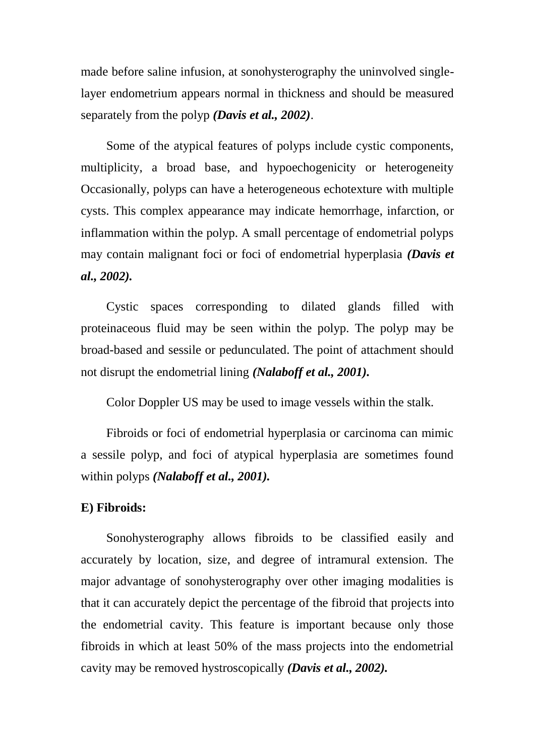made before saline infusion, at sonohysterography the uninvolved singlelayer endometrium appears normal in thickness and should be measured separately from the polyp *(Davis et al., 2002)*.

Some of the atypical features of polyps include cystic components, multiplicity, a broad base, and hypoechogenicity or heterogeneity Occasionally, polyps can have a heterogeneous echotexture with multiple cysts. This complex appearance may indicate hemorrhage, infarction, or inflammation within the polyp. A small percentage of endometrial polyps may contain malignant foci or foci of endometrial hyperplasia *(Davis et al., 2002).*

Cystic spaces corresponding to dilated glands filled with proteinaceous fluid may be seen within the polyp. The polyp may be broad-based and sessile or pedunculated. The point of attachment should not disrupt the endometrial lining *(Nalaboff et al., 2001).*

Color Doppler US may be used to image vessels within the stalk.

Fibroids or foci of endometrial hyperplasia or carcinoma can mimic a sessile polyp, and foci of atypical hyperplasia are sometimes found within polyps *(Nalaboff et al., 2001).*

#### **E) Fibroids:**

Sonohysterography allows fibroids to be classified easily and accurately by location, size, and degree of intramural extension. The major advantage of sonohysterography over other imaging modalities is that it can accurately depict the percentage of the fibroid that projects into the endometrial cavity. This feature is important because only those fibroids in which at least 50% of the mass projects into the endometrial cavity may be removed hystroscopically *(Davis et al., 2002).*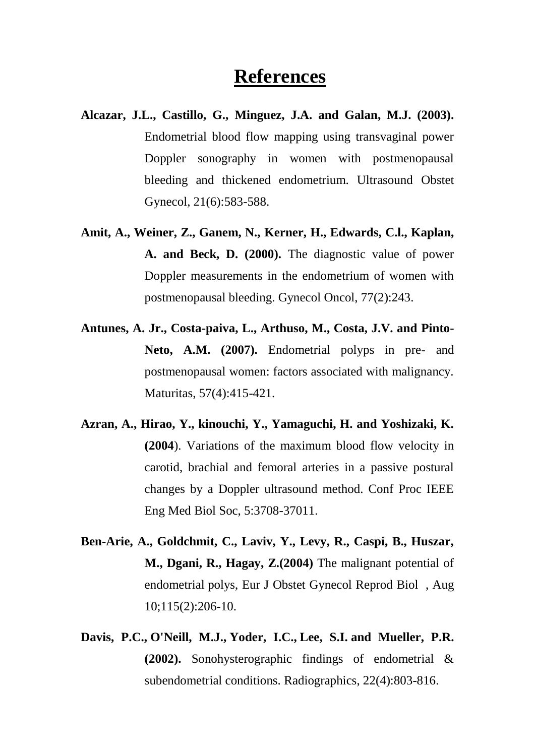# **References**

- **Alcazar, J.L., Castillo, G., Minguez, J.A. and Galan, M.J. (2003).**  Endometrial blood flow mapping using transvaginal power Doppler sonography in women with postmenopausal bleeding and thickened endometrium. Ultrasound Obstet Gynecol, 21(6):583-588.
- **Amit, A., Weiner, Z., Ganem, N., Kerner, H., Edwards, C.l., Kaplan, A. and Beck, D. (2000).** The diagnostic value of power Doppler measurements in the endometrium of women with postmenopausal bleeding. Gynecol Oncol, 77(2):243.
- **Antunes, A. Jr., Costa-paiva, L., Arthuso, M., Costa, J.V. and Pinto-Neto, A.M. (2007).** Endometrial polyps in pre- and postmenopausal women: factors associated with malignancy. Maturitas, 57(4):415-421.
- **Azran, A., Hirao, Y., kinouchi, Y., Yamaguchi, H. and Yoshizaki, K. (2004**). Variations of the maximum blood flow velocity in carotid, brachial and femoral arteries in a passive postural changes by a Doppler ultrasound method. Conf Proc IEEE Eng Med Biol Soc, 5:3708-37011.
- **Ben-Arie, A., Goldchmit, C., Laviv, Y., Levy, R., Caspi, B., Huszar, M., Dgani, R., Hagay, Z.(2004)** The malignant potential of endometrial polys, Eur J Obstet Gynecol Reprod Biol , Aug 10;115(2):206-10.
- **[Davis, P.C.](http://www.ncbi.nlm.nih.gov/pubmed/?term=Davis%20PC%5BAuthor%5D&cauthor=true&cauthor_uid=12110711), [O'Neill, M.J.](http://www.ncbi.nlm.nih.gov/pubmed/?term=O%27Neill%20MJ%5BAuthor%5D&cauthor=true&cauthor_uid=12110711), [Yoder, I.C.](http://www.ncbi.nlm.nih.gov/pubmed/?term=Yoder%20IC%5BAuthor%5D&cauthor=true&cauthor_uid=12110711), [Lee, S.I.](http://www.ncbi.nlm.nih.gov/pubmed/?term=Lee%20SI%5BAuthor%5D&cauthor=true&cauthor_uid=12110711) and [Mueller, P.R.](http://www.ncbi.nlm.nih.gov/pubmed/?term=Mueller%20PR%5BAuthor%5D&cauthor=true&cauthor_uid=12110711) (2002).** Sonohysterographic findings of endometrial & subendometrial conditions. [Radiographics,](http://www.ncbi.nlm.nih.gov/pubmed/?term=Sonohysterographic+findings+of+endometrial+%26+subendometrial+conditions) 22(4):803-816.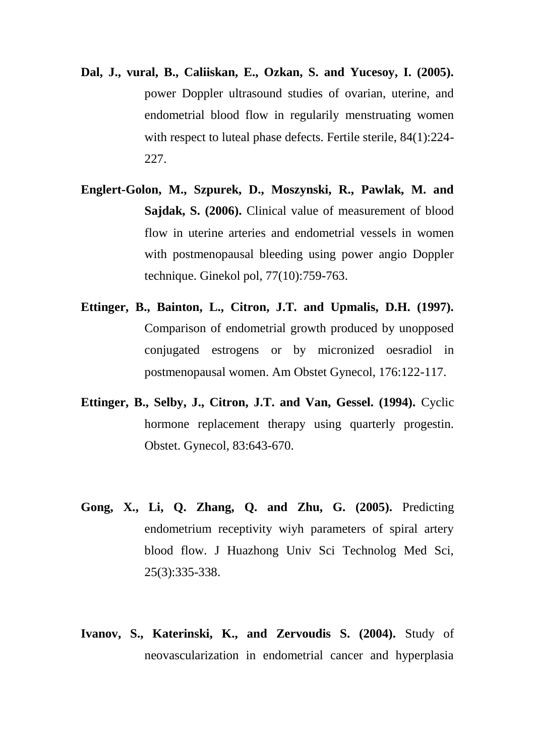- **Dal, J., vural, B., Caliiskan, E., Ozkan, S. and Yucesoy, I. (2005).** power Doppler ultrasound studies of ovarian, uterine, and endometrial blood flow in regularily menstruating women with respect to luteal phase defects. Fertile sterile, 84(1):224- 227.
- **Englert-Golon, M., Szpurek, D., Moszynski, R., Pawlak, M. and Sajdak, S. (2006).** Clinical value of measurement of blood flow in uterine arteries and endometrial vessels in women with postmenopausal bleeding using power angio Doppler technique. Ginekol pol, 77(10):759-763.
- **Ettinger, B., Bainton, L., Citron, J.T. and Upmalis, D.H. (1997).**  Comparison of endometrial growth produced by unopposed conjugated estrogens or by micronized oesradiol in postmenopausal women. Am Obstet Gynecol, 176:122-117.
- **Ettinger, B., Selby, J., Citron, J.T. and Van, Gessel. (1994).** Cyclic hormone replacement therapy using quarterly progestin. Obstet. Gynecol, 83:643-670.
- **Gong, X., Li, Q. Zhang, Q. and Zhu, G. (2005).** Predicting endometrium receptivity wiyh parameters of spiral artery blood flow. J Huazhong Univ Sci Technolog Med Sci, 25(3):335-338.
- **Ivanov, S., Katerinski, K., and Zervoudis S. (2004).** Study of neovascularization in endometrial cancer and hyperplasia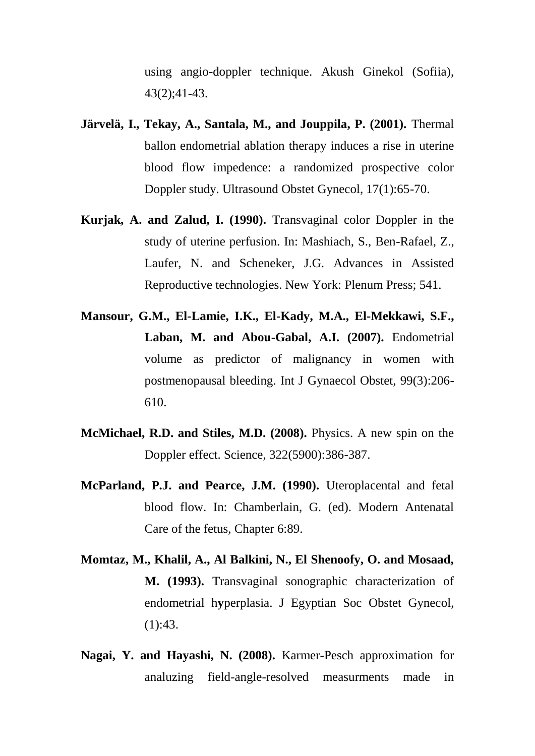using angio-doppler technique. Akush Ginekol (Sofiia), 43(2);41-43.

- **Järvelä, I., Tekay, A., Santala, M., and Jouppila, P. (2001).** Thermal ballon endometrial ablation therapy induces a rise in uterine blood flow impedence: a randomized prospective color Doppler study. Ultrasound Obstet Gynecol, 17(1):65-70.
- **Kurjak, A. and Zalud, I. (1990).** Transvaginal color Doppler in the study of uterine perfusion. In: Mashiach, S., Ben-Rafael, Z., Laufer, N. and Scheneker, J.G. Advances in Assisted Reproductive technologies. New York: Plenum Press; 541.
- **Mansour, G.M., El-Lamie, I.K., El-Kady, M.A., El-Mekkawi, S.F., Laban, M. and Abou-Gabal, A.I. (2007).** Endometrial volume as predictor of malignancy in women with postmenopausal bleeding. Int J Gynaecol Obstet, 99(3):206- 610.
- **McMichael, R.D. and Stiles, M.D. (2008).** Physics. A new spin on the Doppler effect. Science, 322(5900):386-387.
- **McParland, P.J. and Pearce, J.M. (1990).** Uteroplacental and fetal blood flow. In: Chamberlain, G. (ed). Modern Antenatal Care of the fetus, Chapter 6:89.
- **Momtaz, M., Khalil, A., Al Balkini, N., El Shenoofy, O. and Mosaad, M. (1993).** Transvaginal sonographic characterization of endometrial h**y**perplasia. J Egyptian Soc Obstet Gynecol,  $(1):43.$
- **Nagai, Y. and Hayashi, N. (2008).** Karmer-Pesch approximation for analuzing field-angle-resolved measurments made in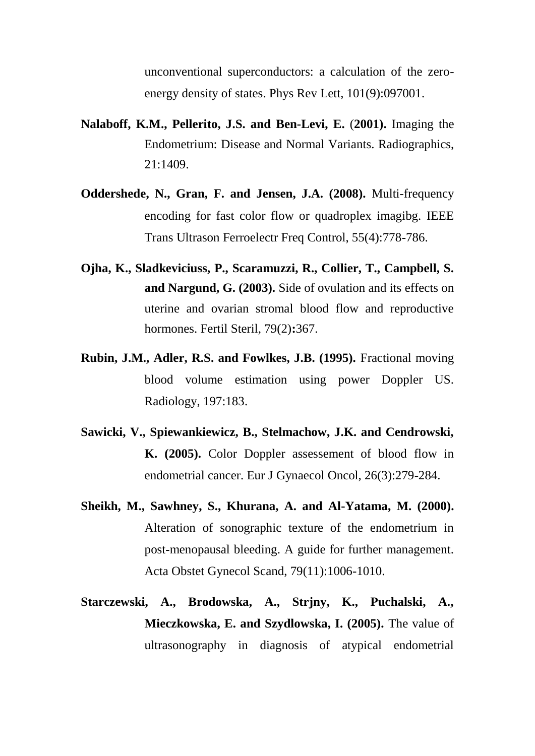unconventional superconductors: a calculation of the zeroenergy density of states. Phys Rev Lett, 101(9):097001.

- **[Nalaboff, K.M.](http://www.ncbi.nlm.nih.gov/pubmed/?term=Nalaboff%20KM%5BAuthor%5D&cauthor=true&cauthor_uid=11706213), [Pellerito, J.S.](http://www.ncbi.nlm.nih.gov/pubmed/?term=Pellerito%20JS%5BAuthor%5D&cauthor=true&cauthor_uid=11706213) and [Ben-Levi, E.](http://www.ncbi.nlm.nih.gov/pubmed/?term=Ben-Levi%20E%5BAuthor%5D&cauthor=true&cauthor_uid=11706213)** (**2001).** Imaging the Endometrium: Disease and Normal Variants. Radiographics, 21:1409.
- **Oddershede, N., Gran, F. and Jensen, J.A. (2008).** Multi-frequency encoding for fast color flow or quadroplex imagibg. IEEE Trans Ultrason Ferroelectr Freq Control, 55(4):778-786.
- **Ojha, K., Sladkeviciuss, P., Scaramuzzi, R., Collier, T., Campbell, S. and Nargund, G. (2003).** Side of ovulation and its effects on uterine and ovarian stromal blood flow and reproductive hormones. Fertil Steril, 79(2)**:**367.
- **Rubin, J.M., Adler, R.S. and Fowlkes, J.B. (1995).** Fractional moving blood volume estimation using power Doppler US. Radiology, 197:183.
- **Sawicki, V., Spiewankiewicz, B., Stelmachow, J.K. and Cendrowski, K. (2005).** Color Doppler assessement of blood flow in endometrial cancer. Eur J Gynaecol Oncol, 26(3):279-284.
- **Sheikh, M., Sawhney, S., Khurana, A. and Al-Yatama, M. (2000).**  Alteration of sonographic texture of the endometrium in post-menopausal bleeding. A guide for further management. Acta Obstet Gynecol Scand, 79(11):1006-1010.
- **Starczewski, A., Brodowska, A., Strjny, K., Puchalski, A., Mieczkowska, E. and Szydlowska, I. (2005).** The value of ultrasonography in diagnosis of atypical endometrial